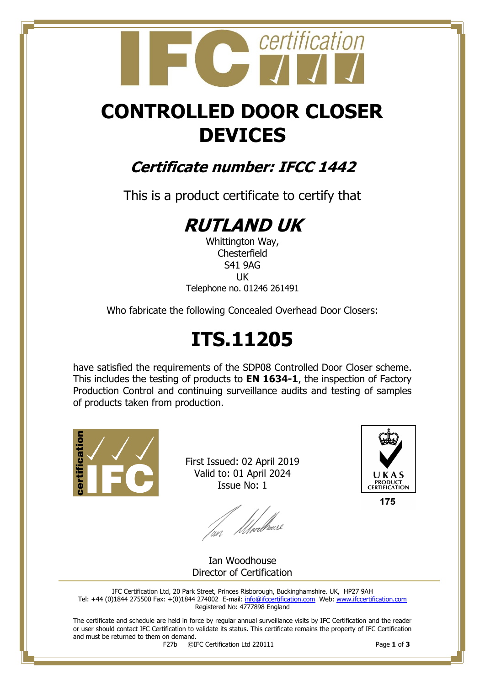# certification

## **CONTROLLED DOOR CLOSER DEVICES**

### **Certificate number: IFCC 1442**

This is a product certificate to certify that

### **RUTLAND UK**

Whittington Way, **Chesterfield** S41 9AG UK Telephone no. 01246 261491

Who fabricate the following Concealed Overhead Door Closers:

# **ITS.11205**

have satisfied the requirements of the SDP08 Controlled Door Closer scheme. This includes the testing of products to **EN 1634-1**, the inspection of Factory Production Control and continuing surveillance audits and testing of samples of products taken from production.



First Issued: 02 April 2019 Valid to: 01 April 2024 Issue No: 1

fan Meedhoase



175

Ian Woodhouse Director of Certification

IFC Certification Ltd, 20 Park Street, Princes Risborough, Buckinghamshire. UK, HP27 9AH Tel: +44 (0)1844 275500 Fax: +(0)1844 274002 E-mail[: info@ifccertification.com](mailto:info@ifccertification.com) Web: [www.ifccertification.com](http://www.ifccertification.com/) Registered No: 4777898 England

The certificate and schedule are held in force by regular annual surveillance visits by IFC Certification and the reader or user should contact IFC Certification to validate its status. This certificate remains the property of IFC Certification and must be returned to them on demand.<br> $F27b$   $\odot$ I

F27b ©IFC Certification Ltd 220111 Page **1** of **3**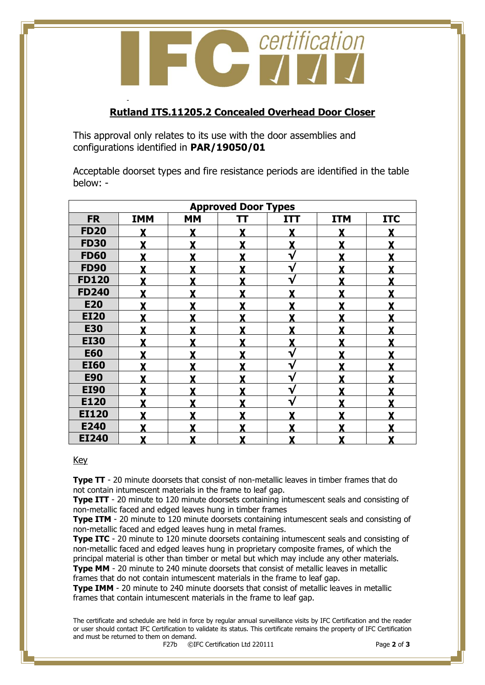certification C certi

### **Rutland ITS.11205.2 Concealed Overhead Door Closer**

This approval only relates to its use with the door assemblies and configurations identified in **PAR/19050/01**

-

Acceptable doorset types and fire resistance periods are identified in the table below: -

| <b>Approved Door Types</b> |              |           |    |                         |            |            |  |  |  |
|----------------------------|--------------|-----------|----|-------------------------|------------|------------|--|--|--|
| <b>FR</b>                  | <b>IMM</b>   | <b>MM</b> | TΤ | <b>ITT</b>              | <b>ITM</b> | <b>ITC</b> |  |  |  |
| <b>FD20</b>                | Y            | v         | v  | X                       |            |            |  |  |  |
| <b>FD30</b>                | Y            | Y         |    | $\mathbf X$             | Y          |            |  |  |  |
| <b>FD60</b>                | Y            | Y         | Y  | ν                       | Y          | v          |  |  |  |
| <b>FD90</b>                | Y            | Y         | Y  | V                       | Y          | Y          |  |  |  |
| <b>FD120</b>               | Y            | v         | Y  | V                       | v          | v          |  |  |  |
| <b>FD240</b>               | v            | Y         | Y  | Y                       | v          |            |  |  |  |
| <b>E20</b>                 | Y            | Y         |    | Y                       | Y          |            |  |  |  |
| <b>EI20</b>                | X            | Y         |    | X                       | v          |            |  |  |  |
| <b>E30</b>                 | X            | Y         |    | $\overline{\mathbf{X}}$ |            |            |  |  |  |
| <b>EI30</b>                | Y            | Y         |    | X                       | Y          |            |  |  |  |
| <b>E60</b>                 | $\mathbf{X}$ | Y         | Y  | ν                       | Y          | Y          |  |  |  |
| <b>EI60</b>                | X            | Y         | Y  | $\mathbf v$             | Y          | Y          |  |  |  |
| <b>E90</b>                 | X            | Y         | Y  | $\mathbf{v}$            | Y          | Y          |  |  |  |
| <b>EI90</b>                | X            | Y         | Y  | V                       | Y          |            |  |  |  |
| E120                       | $\mathbf{X}$ | Y         | Y  | $\mathbf{v}$            | X          | Y          |  |  |  |
| <b>EI120</b>               | X            | v         | X  | X                       | Y          | v          |  |  |  |
| E240                       | X            | Y         |    | X                       | Y          |            |  |  |  |
| <b>EI240</b>               | X            | X         | X  | X                       | X          | X          |  |  |  |

#### Key

**Type TT** - 20 minute doorsets that consist of non-metallic leaves in timber frames that do not contain intumescent materials in the frame to leaf gap.

**Type ITT** - 20 minute to 120 minute doorsets containing intumescent seals and consisting of non-metallic faced and edged leaves hung in timber frames

**Type ITM** - 20 minute to 120 minute doorsets containing intumescent seals and consisting of non-metallic faced and edged leaves hung in metal frames.

**Type ITC** - 20 minute to 120 minute doorsets containing intumescent seals and consisting of non-metallic faced and edged leaves hung in proprietary composite frames, of which the principal material is other than timber or metal but which may include any other materials.

**Type MM** - 20 minute to 240 minute doorsets that consist of metallic leaves in metallic frames that do not contain intumescent materials in the frame to leaf gap.

**Type IMM** - 20 minute to 240 minute doorsets that consist of metallic leaves in metallic frames that contain intumescent materials in the frame to leaf gap.

The certificate and schedule are held in force by regular annual surveillance visits by IFC Certification and the reader or user should contact IFC Certification to validate its status. This certificate remains the property of IFC Certification and must be returned to them on demand.<br> $F27b$   $\odot$ I

F27b ©IFC Certification Ltd 220111 Page **2** of **3**